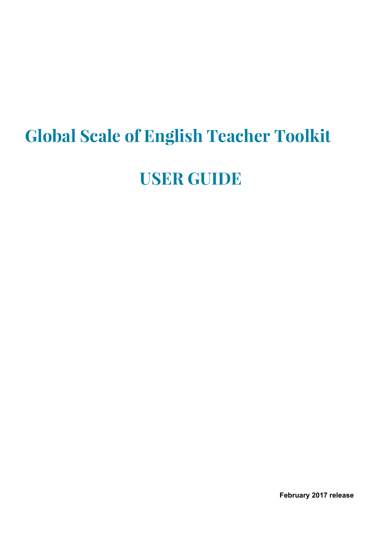# **Global Scale of English Teacher Toolkit**

# **USER GUIDE**

**February 2017 release**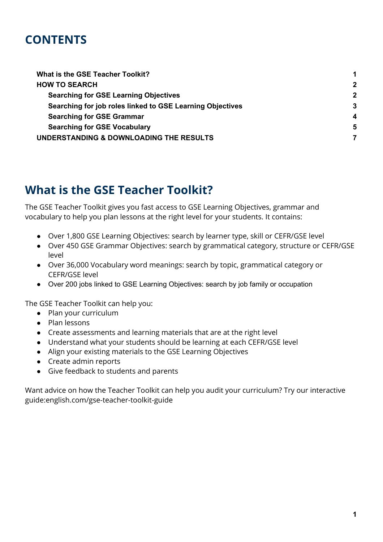## **CONTENTS**

| $\mathbf 2$ |
|-------------|
| $\mathbf 2$ |
| 3           |
| 4           |
| 5           |
|             |
|             |

## <span id="page-1-0"></span>**What is the GSE Teacher Toolkit?**

The GSE Teacher Toolkit gives you fast access to GSE Learning Objectives, grammar and vocabulary to help you plan lessons at the right level for your students. It contains:

- Over 1,800 GSE Learning Objectives: search by learner type, skill or CEFR/GSE level
- Over 450 GSE Grammar Objectives: search by grammatical category, structure or CEFR/GSE level
- Over 36,000 Vocabulary word meanings: search by topic, grammatical category or CEFR/GSE level
- Over 200 jobs linked to GSE Learning Objectives: search by job family or occupation

The GSE Teacher Toolkit can help you:

- Plan your curriculum
- Plan lessons
- Create assessments and learning materials that are at the right level
- Understand what your students should be learning at each CEFR/GSE level
- Align your existing materials to the GSE Learning Objectives
- Create admin reports
- Give feedback to students and parents

Want advice on how the Teacher Toolkit can help you audit your curriculum? Try our interactive guide:english.com/gse-teacher-toolkit-guide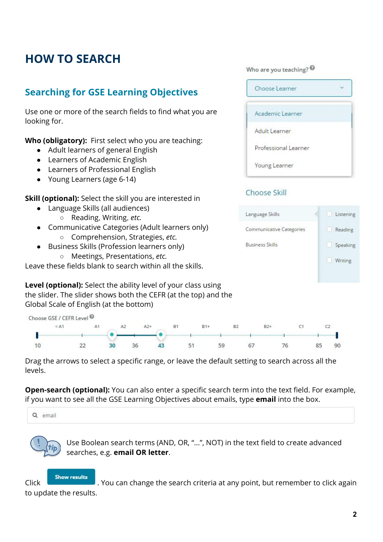# <span id="page-2-1"></span><span id="page-2-0"></span>**HOW TO SEARCH**

### **Searching for GSE Learning Objectives**

Use one or more of the search fields to find what you are looking for.

**Who (obligatory):** First select who you are teaching:

- Adult learners of general English
- Learners of Academic English
- Learners of Professional English
- Young Learners (age 6-14)

**Skill (optional):** Select the skill you are interested in

- Language Skills (all audiences)
	- Reading, Writing, *etc.*
- Communicative Categories (Adult learners only) ○ Comprehension, Strategies, *etc.*
- Business Skills (Profession learners only) ○ Meetings, Presentations, *etc.*

Leave these fields blank to search within all the skills.

**Level (optional):** Select the ability level of your class using the slider. The slider shows both the CEFR (at the top) and the Global Scale of English (at the bottom)

| Choose GSE / CEFR Level <sup>0</sup> |    |    |    |       |           |       |    |                |       |    |           |    |
|--------------------------------------|----|----|----|-------|-----------|-------|----|----------------|-------|----|-----------|----|
| $<$ A1                               | A1 |    |    | $A2+$ | <b>B1</b> | $B1+$ |    | B <sub>2</sub> | $B2+$ |    |           |    |
|                                      |    |    |    |       |           |       |    |                |       |    |           |    |
|                                      |    | ٦n | 36 |       | 51        |       | 59 | 6/             |       | 76 | <u>~~</u> | 90 |

Drag the arrows to select a specific range, or leave the default setting to search across all the levels.

**Open-search (optional):** You can also enter a specific search term into the text field. For example, if you want to see all the GSE Learning Objectives about emails, type **email** into the box.

Q email



Use Boolean search terms (AND, OR, "...", NOT) in the text field to create advanced searches, e.g. **email OR letter**.

**Show results** 

Click . You can change the search criteria at any point, but remember to click again to update the results.

Who are you teaching?  $\odot$ 

| Choose Learner       |  |
|----------------------|--|
| Academic Learner     |  |
| Adult Learner        |  |
| Professional Learner |  |
| Young Learner        |  |

#### Choose Skill

| Language Skills          | Listening    |
|--------------------------|--------------|
| Communicative Categories | Reading<br>E |
| <b>Business Skills</b>   | Speaking     |
|                          | Writing      |
|                          |              |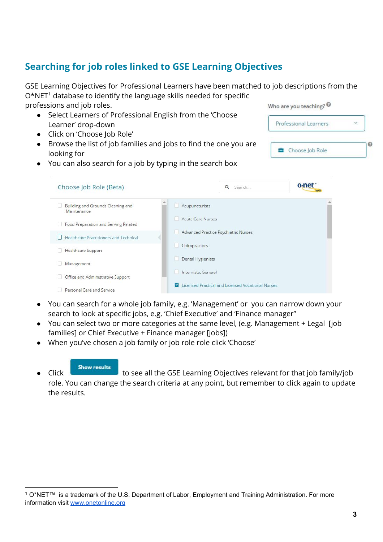### <span id="page-3-0"></span>**Searching for job roles linked to GSE Learning Objectives**

GSE Learning Objectives for Professional Learners have been matched to job descriptions from the  $O*NET<sup>1</sup>$  database to identify the language skills needed for specific professions and job roles. Who are you teaching?

Professional Learners

Choose Job Role

Q

- Select Learners of Professional English from the 'Choose Learner' drop-down
- Click on 'Choose Job Role'
- Browse the list of job families and jobs to find the one you are looking for
- You can also search for a job by typing in the search box

| Choose Job Role (Beta)                           |                          | $\alpha$<br>Search                                | o net |
|--------------------------------------------------|--------------------------|---------------------------------------------------|-------|
| Building and Grounds Cleaning and<br>Maintenance | Acupuncturists           |                                                   |       |
| Food Preparation and Serving Related             | <b>Acute Care Nurses</b> |                                                   |       |
| Healthcare Practitioners and Technical           |                          | Advanced Practice Psychiatric Nurses              |       |
| Healthcare Support                               | Chiropractors            |                                                   |       |
| Management                                       | Dental Hygienists        |                                                   |       |
| Office and Administrative Support                | Internists, General      |                                                   |       |
| Personal Care and Service                        | $\overline{\phantom{a}}$ | Licensed Practical and Licensed Vocational Nurses |       |

- You can search for a whole job family, e.g. 'Management' or you can narrow down your search to look at specific jobs, e.g. 'Chief Executive' and 'Finance manager''
- You can select two or more categories at the same level, (e.g. Management + Legal [job families] or Chief Executive + Finance manager [jobs])
- When you've chosen a job family or job role role click 'Choose'

**Show results** 

• Click Click to see all the GSE Learning Objectives relevant for that job family/job role. You can change the search criteria at any point, but remember to click again to update the results.

**<sup>1</sup>** O\*NET™ is a trademark of the U.S. Department of Labor, Employment and Training Administration. For more information visit [www.onetonline.org](https://www.onetonline.org/)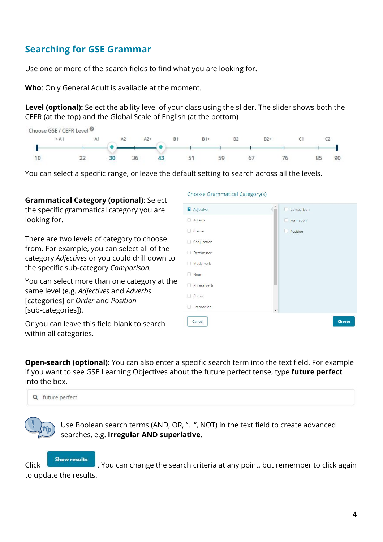### <span id="page-4-0"></span>**Searching for GSE Grammar**

Use one or more of the search fields to find what you are looking for.

**Who**: Only General Adult is available at the moment.

**Level (optional):** Select the ability level of your class using the slider. The slider shows both the CEFR (at the top) and the Global Scale of English (at the bottom)

|    | Choose GSE / CEFR Level <sup><sup>®</sup></sup> |                |    |       |           |       |                |       |  |                     |    |
|----|-------------------------------------------------|----------------|----|-------|-----------|-------|----------------|-------|--|---------------------|----|
|    | $<$ A1                                          | A <sub>1</sub> | A2 | $A2+$ | <b>B1</b> | $B1+$ | B <sub>2</sub> | $B2+$ |  |                     |    |
|    |                                                 |                |    |       |           |       |                |       |  |                     |    |
| 10 |                                                 |                | 36 |       | 51        |       | 59             | 6/    |  | R <sub>5</sub><br>ັ | 90 |

Choose Grammatical Category(s)

You can select a specific range, or leave the default setting to search across all the levels.

**Grammatical Category (optional)**: Select the specific grammatical category you are looking for.

There are two levels of category to choose from. For example, you can select all of the category *Adjectives* or you could drill down to the specific sub-category *Comparison.*

You can select more than one category at the same level (e.g. *Adjectives* and *Adverbs* [categories] or *Order* and *Position* [sub-categories]).

| Adjective         | Comparison |        |
|-------------------|------------|--------|
| Adverb<br>H       | Formation  |        |
| Clause<br>n       | Position   |        |
| Conjunction       |            |        |
| Determiner<br>e e |            |        |
| Modal verb<br>ш   |            |        |
| Noun<br>o         |            |        |
| Phrasal verb<br>۳ |            |        |
| Phrase            |            |        |
| Preposition<br>u  |            |        |
| Cancel            |            | Choose |

Or you can leave this field blank to search within all categories.

**Open-search (optional):** You can also enter a specific search term into the text field. For example if you want to see GSE Learning Objectives about the future perfect tense, type **future perfect** into the box.



Use Boolean search terms (AND, OR, "...", NOT) in the text field to create advanced searches, e.g. **irregular AND superlative**.

**Click Show results** . You can change the search criteria at any point, but remember to click again to update the results.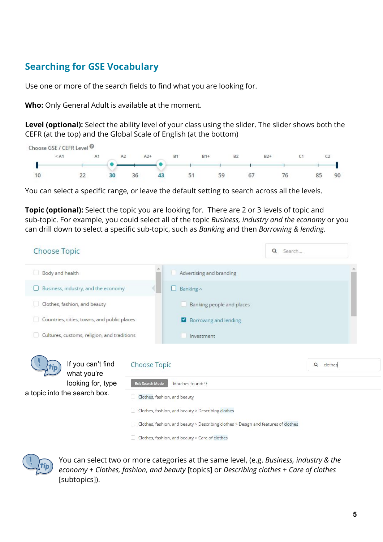### <span id="page-5-0"></span>**Searching for GSE Vocabulary**

Use one or more of the search fields to find what you are looking for.

**Who:** Only General Adult is available at the moment.

**Level (optional):** Select the ability level of your class using the slider. The slider shows both the CEFR (at the top) and the Global Scale of English (at the bottom)

|    | Choose GSE / CEFR Level <sup><sup>O</sup></sup> |    |             |    |           |       |                |       |    |    |
|----|-------------------------------------------------|----|-------------|----|-----------|-------|----------------|-------|----|----|
|    | < A1                                            | A1 | $A2+$<br>A2 |    | <b>B1</b> | $B1+$ | B <sub>2</sub> | $B2+$ |    |    |
|    |                                                 |    |             |    |           |       |                |       |    |    |
| 10 | 22                                              | 30 | 36          | 43 | 51        | 59    | 67             | 76    | 85 | 90 |

You can select a specific range, or leave the default setting to search across all the levels.

**Topic (optional):** Select the topic you are looking for. There are 2 or 3 levels of topic and sub-topic. For example, you could select all of the topic *Business, industry and the economy* or you can drill down to select a specific sub-topic, such as *Banking* and then *Borrowing & lending*.

| Choose Topic                                |                                                                                    |                                                | Q<br>Search |           |  |  |  |
|---------------------------------------------|------------------------------------------------------------------------------------|------------------------------------------------|-------------|-----------|--|--|--|
| Body and health                             |                                                                                    | Advertising and branding                       |             |           |  |  |  |
| Business, industry, and the economy<br>U    |                                                                                    | Banking ^<br>и                                 |             |           |  |  |  |
| Clothes, fashion, and beauty                |                                                                                    | Banking people and places                      |             |           |  |  |  |
| Countries, cities, towns, and public places |                                                                                    | Borrowing and lending<br>◘                     |             |           |  |  |  |
| Cultures, customs, religion, and traditions |                                                                                    | Investment                                     |             |           |  |  |  |
| If you can't find<br>what you're            | <b>Choose Topic</b>                                                                |                                                |             | Q clothes |  |  |  |
| looking for, type                           | Exit Search Mode                                                                   | Matches found: 9                               |             |           |  |  |  |
| a topic into the search box.                | Clothes, fashion, and beauty                                                       |                                                |             |           |  |  |  |
|                                             | Clothes, fashion, and beauty > Describing clothes                                  |                                                |             |           |  |  |  |
|                                             | Clothes, fashion, and beauty > Describing clothes > Design and features of clothes |                                                |             |           |  |  |  |
|                                             |                                                                                    | Clothes, fashion, and beauty > Care of clothes |             |           |  |  |  |



You can select two or more categories at the same level, (e.g. *Business, industry & the economy* + *Clothes, fashion, and beauty* [topics] or *Describing clothes* + *Care of clothes* [subtopics]).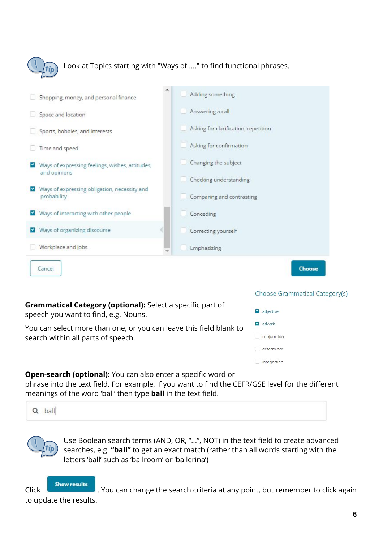

Look at Topics starting with "Ways of ...." to find functional phrases.

| Shopping, money, and personal finance                           | Adding something                     |
|-----------------------------------------------------------------|--------------------------------------|
| Space and location                                              | Answering a call                     |
| Sports, hobbies, and interests                                  | Asking for clarification, repetition |
| Time and speed                                                  | Asking for confirmation              |
| Ways of expressing feelings, wishes, attitudes,<br>and opinions | Changing the subject                 |
| Ways of expressing obligation, necessity and                    | Checking understanding               |
| probability                                                     | Comparing and contrasting            |
| V Ways of interacting with other people                         | Conceding                            |
| Ways of organizing discourse                                    | Correcting yourself                  |
| Workplace and jobs                                              | Emphasizing                          |
| Cancel                                                          | <b>Choose</b>                        |

**Grammatical Category (optional):** Select a specific part of speech you want to find, e.g. Nouns.

You can select more than one, or you can leave this field blank to search within all parts of speech.

| adjective          |
|--------------------|
| adverb             |
| $\Box$ conjunction |
| determiner         |
| interjection       |

**Choose Grammatical Category(s)** 

**Open-search (optional):** You can also enter a specific word or

phrase into the text field. For example, if you want to find the CEFR/GSE level for the different meanings of the word 'ball' then type **ball** in the text field.



Use Boolean search terms (AND, OR, "...", NOT) in the text field to create advanced searches, e.g. **"ball"** to get an exact match (rather than all words starting with the letters 'ball' such as 'ballroom' or 'ballerina')

**Show results** Click . You can change the search criteria at any point, but remember to click again to update the results.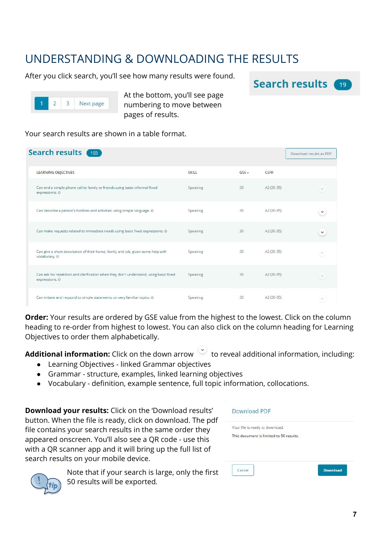# <span id="page-7-0"></span>UNDERSTANDING & DOWNLOADING THE RESULTS

After you click search, you'll see how many results were found.





At the bottom, you'll see page numbering to move between pages of results.

Your search results are shown in a table format.

| Search results 103                                                                                       |          |         |             | Download results as PDF |
|----------------------------------------------------------------------------------------------------------|----------|---------|-------------|-------------------------|
| <b>LEARNING OBJECTIVES</b>                                                                               | SKILL    | $GSE -$ | CEFR        |                         |
| Can end a simple phone call to family or friends using basic informal fixed<br>expressions. ©            | Speaking | 30      | A2 (30-35)  | $\checkmark$            |
| Can describe a person's hobbies and activities using simple language. @                                  | Speaking | 30      | A2 (30-35)  | $\checkmark$            |
| Can make requests related to immediate needs using basic fixed expressions. @                            | Speaking | 30      | A2 (30-35)  | $\checkmark$            |
| Can give a short description of their home, family and job, given some help with<br>vocabulary. @        | Speaking | 30      | $A2(30-35)$ | $\sim$                  |
| Can ask for repetition and clarification when they don't understand, using basic fixed<br>expressions. © | Speaking | 30      | A2 (30-35)  | $\checkmark$            |
| Can initiate and respond to simple statements on very familiar topics. @                                 | Speaking | 30      | A2 (30-35)  |                         |

**Order:** Your results are ordered by GSE value from the highest to the lowest. Click on the column heading to re-order from highest to lowest. You can also click on the column heading for Learning Objectives to order them alphabetically.

Additional information: Click on the down arrow to reveal additional information, including:

- Learning Objectives linked Grammar objectives
- Grammar structure, examples, linked learning objectives
- Vocabulary definition, example sentence, full topic information, collocations.

**Download your results:** Click on the 'Download results' button. When the file is ready, click on download. The pdf file contains your search results in the same order they appeared onscreen. You'll also see a QR code - use this with a QR scanner app and it will bring up the full list of search results on your mobile device.





Note that if your search is large, only the first 50 results will be exported*.*